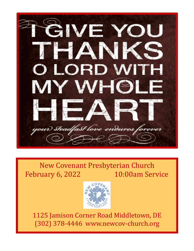

New Covenant Presbyterian Church February 6, 2022 10:00am Service



1125 Jamison Corner Road Middletown, DE (302) 378-4446 www.newcov-church.org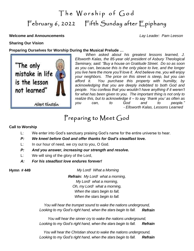# The Worship of God February 6, 2022 Fifth Sunday after Epiphany

#### **Welcome and Announcements** *Lay Leader: Pam Leeson*

**Sharing Our Vision**

**Preparing Ourselves for Worship During the Musical Prelude …** 



*When asked about his greatest lessons learned, J. Ellsworth Kalas, the 85-year old president of Asbury Theological Seminary, said: "Buy a house on Gratitude Street. Do so as soon as you can, because this is the only place to live, and the longer you live here the more you'll love it. And believe me, you will enjoy your neighbors. The price on this street is steep, but you can afford it. You purchase this property with humility, by acknowledging that you are deeply indebted to both God and people. You confess that you wouldn't have anything if it weren't for what has been given to you. The important thing is not only to realize this, but to acknowledge it – to say `thank you' as often as you can, to God and to people." - Ellsworth Kalas, Lessons Learned*

### Preparing to Meet God

### **Call to Worship**

- L: We enter into God's sanctuary praising God's name for the entire universe to hear.
- *P: We kneel before God and offer thanks for God's steadfast love.*
- L: In our hour of need, we cry out to you, O God.
- *P: And you answer, increasing our strength and resolve.*
- L: We will sing of the glory of the Lord,
- *A: For his steadfast love endures forever!*

**Hymn # 449** *My Lord! What a Morning*

*Refrain: My Lord! what a morning, My Lord! what a morning, Oh, my Lord! what a morning, When the stars begin to fall, When the stars begin to fall.*

*You will hear the trumpet sound to wake the nations underground, Looking to my God's right hand, when the stars begin to fall. Refrain*

*You will hear the sinner cry to wake the nations underground, Looking to my God's right hand, when the stars begin to fall. Refrain*

*You will hear the Christian shout to wake the nations underground, Looking to my God's right hand, when the stars begin to fall. Refrain*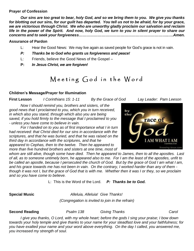#### **Prayer of Confession**

*Our sins are too great to bear, holy God, and so we bring them to you. We give you thanks for blotting out our sins, for our guilt has departed. You tell us not to be afraid, for by your grace, we are victorious through Christ. We who are unworthy gladly proclaim our salvation and reclaim life in the power of the Spirit. And now, holy God, we turn to you in silent prayer to share our concerns and to seek your forgiveness……………………………………………………………..….Amen.*

#### **Assurance of Pardon**

L: Hear the Good News: We may live again as saved people for God's grace is not in vain.

### *P: Thanks be to God who grants us forgiveness and peace!*

- L: Friends, believe the Good News of the Gospel –
- **P:** *In Jesus Christ, we are forgiven!*

### Meeting God in the Word

#### **Children's Message/Prayer for Illumination**

**First Lesson** *I Corinthians 15: 1-11 By the Grace of God Lay Leader: Pam Leeson*

*Now I should remind you, brothers and sisters, of the good news that I proclaimed to you, which you in turn received, in which also you stand, through which also you are being saved, if you hold firmly to the message that I proclaimed to you - unless you have come to believe in vain.*

*For I handed on to you as of first importance what I in turn had received: that Christ died for our sins in accordance with the scriptures, and that he was buried, and that he was raised on the third day in accordance with the scriptures, and that he appeared to Cephas, then to the twelve. Then he appeared to more than five hundred brothers and sisters at one time, most of* 



*whom are still alive, though some have died. Then he appeared to James, then to all the apostles. Last of all, as to someone untimely born, he appeared also to me. For I am the least of the apostles, unfit to be called an apostle, because I persecuted the church of God. But by the grace of God I am what I am, and his grace towards me has not been in vain. On the contrary, I worked harder than any of them though it was not I, but the grace of God that is with me. Whether then it was I or they, so we proclaim and so you have come to believe.*

L: This is the Word of the Lord. *P: Thanks be to God.*

**Special Music** *Alleluia, Alleluia! Give Thanks!*

*(Congregation is invited to join in the refrain)*

**Second Reading** *Psalm 138 Giving Thanks Carol*

*I give you thanks, O Lord, with my whole heart; before the gods I sing your praise; I bow down towards your holy temple and give thanks to your name for your steadfast love and your faithfulness; for you have exalted your name and your word above everything. On the day I called, you answered me, you increased my strength of soul.*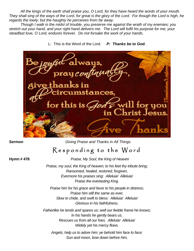*All the kings of the earth shall praise you, O Lord, for they have heard the words of your mouth. They shall sing of the ways of the Lord, for great is the glory of the Lord. For though the Lord is high, he regards the lowly; but the haughty he perceives from far away.*

*Though I walk in the midst of trouble, you preserve me against the wrath of my enemies; you stretch out your hand, and your right hand delivers me. The Lord will fulfil his purpose for me; your steadfast love, O Lord, endures forever. Do not forsake the work of your hands.* 



L: This is the Word of the Lord. *P: Thanks be to God.*

**Sermon** *Giving Praise and Thanks in All Things*

## Responding to the Word

**Hymn # 478** *Praise, My Soul, the King of Heaven*

*Praise, my soul, the King of heaven; to his feet thy tribute bring; Ransomed, healed, restored, forgiven, Evermore his praises sing: Alleluia! Alleluia! Praise the everlasting King.*

*Praise him for his grace and favor to his people in distress; Praise him still the same as ever, Slow to chide, and swift to bless: Alleluia! Alleluia! Glorious in his faithfulness.*

*Fatherlike he tends and spares us; well our feeble frame he knows; In his hands he gently bears us, Rescues us from all our foes. Alleluia! Alleluia! Widely yet his mercy flows.*

*Angels, help us to adore him; ye behold him face to face; Sun and moon, bow down before him,*